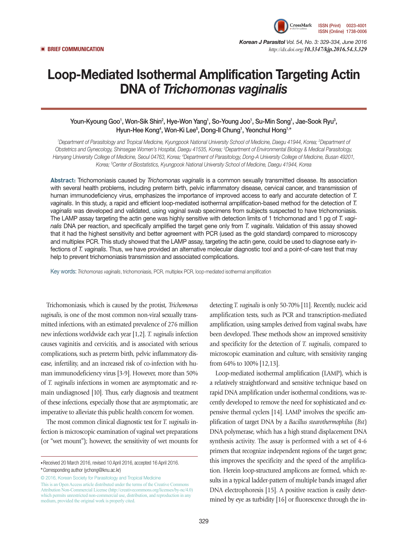

*Korean J Parasitol Vol. 54, No. 3: 329-334, June 2016*  ▣ **BRIEF COMMUNICATION** *http://dx.doi.org/10.3347/kjp.2016.54.3.329*

# Loop-Mediated Isothermal Amplification Targeting Actin DNA of *Trichomonas vaginalis*

### Youn-Kyoung Goo', Won-Sik Shin<sup>2</sup>, Hye-Won Yang', So-Young Joo', Su-Min Song', Jae-Sook Ryu<sup>3</sup>, Hyun-Hee Kong4 , Won-Ki Lee5 , Dong-Il Chung1 , Yeonchul Hong1,**\***

<sup>1</sup>Department of Parasitology and Tropical Medicine, Kyungpook National University School of Medicine, Daegu 41944, Korea; <sup>2</sup>Department of *Obstetrics and Gynecology, Shinsegae Women's Hospital, Daegu 41535, Korea; 3 Department of Environmental Biology & Medical Parasitology,*  Hanyang University College of Medicine, Seoul 04763, Korea; <sup>4</sup>Department of Parasitology, Dong-A University College of Medicine, Busan 49201, *Korea; 5 Center of Biostatistics, Kyungpook National University School of Medicine, Daegu 41944, Korea*

**Abstract:** Trichomoniasis caused by *Trichomonas vaginalis* is a common sexually transmitted disease. Its association with several health problems, including preterm birth, pelvic inflammatory disease, cervical cancer, and transmission of human immunodeficiency virus, emphasizes the importance of improved access to early and accurate detection of *T. vaginalis*. In this study, a rapid and efficient loop-mediated isothermal amplification-based method for the detection of *T. vaginalis* was developed and validated, using vaginal swab specimens from subjects suspected to have trichomoniasis. The LAMP assay targeting the actin gene was highly sensitive with detection limits of 1 trichomonad and 1 pg of *T. vaginalis* DNA per reaction, and specifically amplified the target gene only from *T. vaginalis*. Validation of this assay showed that it had the highest sensitivity and better agreement with PCR (used as the gold standard) compared to microscopy and multiplex PCR. This study showed that the LAMP assay, targeting the actin gene, could be used to diagnose early infections of *T. vaginalis*. Thus, we have provided an alternative molecular diagnostic tool and a point-of-care test that may help to prevent trichomoniasis transmission and associated complications.

Key words: *Trichomonas vaginalis*, trichomoniasis, PCR, multiplex PCR, loop-mediated isothermal amplification

Trichomoniasis, which is caused by the protist, *Trichomonas vaginalis*, is one of the most common non-viral sexually transmitted infections, with an estimated prevalence of 276 million new infections worldwide each year [1,2]. *T. vaginalis* infection causes vaginitis and cervicitis, and is associated with serious complications, such as preterm birth, pelvic inflammatory disease, infertility, and an increased risk of co-infection with human immunodeficiency virus [3-9]. However, more than 50% of *T. vaginalis* infections in women are asymptomatic and remain undiagnosed [10]. Thus, early diagnosis and treatment of these infections, especially those that are asymptomatic, are imperative to alleviate this public health concern for women.

The most common clinical diagnostic test for *T. vaginalis* infection is microscopic examination of vaginal wet preparations (or "wet mount"); however, the sensitivity of wet mounts for

© 2016, Korean Society for Parasitology and Tropical Medicine This is an Open Access article distributed under the terms of the Creative Commons Attribution Non-Commercial License (http://creativecommons.org/licenses/by-nc/4.0) which permits unrestricted non-commercial use, distribution, and reproduction in any medium, provided the original work is properly cited.

detecting *T. vaginalis* is only 50-70% [11]. Recently, nucleic acid amplification tests, such as PCR and transcription-mediated amplification, using samples derived from vaginal swabs, have been developed. These methods show an improved sensitivity and specificity for the detection of *T. vaginalis*, compared to microscopic examination and culture, with sensitivity ranging from 64% to 100% [12,13].

Loop-mediated isothermal amplification (LAMP), which is a relatively straightforward and sensitive technique based on rapid DNA amplification under isothermal conditions, was recently developed to remove the need for sophisticated and expensive thermal cyclers [14]. LAMP involves the specific amplification of target DNA by a *Bacillus stearothermophilus* (*Bst*) DNA polymerase, which has a high strand displacement DNA synthesis activity. The assay is performed with a set of 4-6 primers that recognize independent regions of the target gene; this improves the specificity and the speed of the amplification. Herein loop-structured amplicons are formed, which results in a typical ladder-pattern of multiple bands imaged after DNA electrophoresis [15]. A positive reaction is easily determined by eye as turbidity [16] or fluorescence through the in-

**<sup>•</sup>**Received 20 March 2016, revised 10 April 2016, accepted 16 April 2016. **\***Corresponding author (ychong@knu.ac.kr)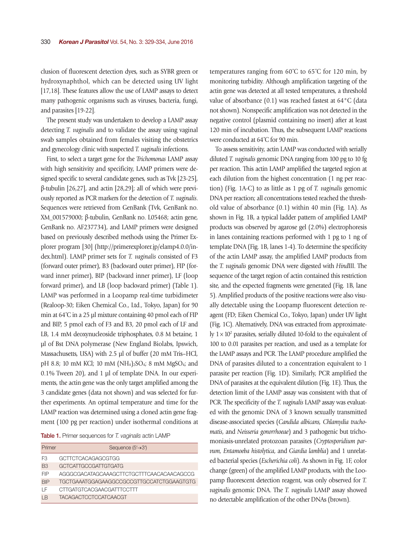clusion of fluorescent detection dyes, such as SYBR green or hydroxynaphthol, which can be detected using UV light [17,18]. These features allow the use of LAMP assays to detect many pathogenic organisms such as viruses, bacteria, fungi, and parasites [19-22].

The present study was undertaken to develop a LAMP assay detecting *T. vaginalis* and to validate the assay using vaginal swab samples obtained from females visiting the obstetrics and gynecology clinic with suspected *T. vaginalis* infections.

First, to select a target gene for the *Trichomonas* LAMP assay with high sensitivity and specificity, LAMP primers were designed specific to several candidate genes, such as Tvk [23-25], β-tubulin [26,27], and actin [28,29]; all of which were previously reported as PCR markers for the detection of *T. vaginalis*. Sequences were retrieved from GenBank (Tvk, GenBank no. XM\_001579000; β-tubulin, GenBank no. L05468; actin gene, GenBank no. AF237734), and LAMP primers were designed based on previously described methods using the Primer Explorer program [30] (http://primerexplorer.jp/elamp4.0.0/index.html). LAMP primer sets for *T. vaginalis* consisted of F3 (forward outer primer), B3 (backward outer primer), FIP (forward inner primer), BIP (backward inner primer), LF (loop forward primer), and LB (loop backward primer) (Table 1). LAMP was performed in a Loopamp real-time turbidimeter (Realoop-30; Eiken Chemical Co., Ltd., Tokyo, Japan) for 90 min at 64˚C in a 25 μl mixture containing 40 pmol each of FIP and BIP, 5 pmol each of F3 and B3, 20 pmol each of LF and LB, 1.4 mM deoxynucleoside triphosphates, 0.8 M betaine, 1 μl of Bst DNA polymerase (New England Biolabs, Ipswich, Massachusetts, USA) with 2.5 μl of buffer (20 mM Tris–HCl, pH 8.8; 10 mM KCl; 10 mM  $(NH_4)_2SO_4$ ; 8 mM MgSO<sub>4</sub>; and 0.1% Tween 20), and 1 μl of template DNA. In our experiments, the actin gene was the only target amplified among the 3 candidate genes (data not shown) and was selected for further experiments. An optimal temperature and time for the LAMP reaction was determined using a cloned actin gene fragment (100 pg per reaction) under isothermal conditions at

Table 1. Primer sequences for *T. vaginalis* actin LAMP

| Primer         | Sequence $(5' \rightarrow 3')$            |
|----------------|-------------------------------------------|
| F3             | GCTTCTCACAGAGCGTGG                        |
| B <sub>3</sub> | GCTCATTGCCGATTGTGATG                      |
| FIP            | AGGGCGACATAGCAAAGCTTCTGCTTTCAACACAACAGCCG |
| <b>BIP</b>     | TGCTGAAATGGAGAAGGCCGCCGTTGCCATCTGGAAGTGTG |
| ΙF             | CTTGATGTCACGAACGATTTCCTTT                 |
| ΙR             | <b>TACAGACTCCTCCATCAACGT</b>              |

temperatures ranging from 60˚C to 65˚C for 120 min, by monitoring turbidity. Although amplification targeting of the actin gene was detected at all tested temperatures, a threshold value of absorbance (0.1) was reached fastest at 64°C (data not shown). Nonspecific amplification was not detected in the negative control (plasmid containing no insert) after at least 120 min of incubation. Thus, the subsequent LAMP reactions were conducted at 64˚C for 90 min.

To assess sensitivity, actin LAMP was conducted with serially diluted *T. vaginalis* genomic DNA ranging from 100 pg to 10 fg per reaction. This actin LAMP amplified the targeted region at each dilution from the highest concentration (1 ng per reaction) (Fig. 1A-C) to as little as 1 pg of *T. vaginalis* genomic DNA per reaction; all concentrations tested reached the threshold value of absorbance (0.1) within 40 min (Fig. 1A). As shown in Fig. 1B, a typical ladder pattern of amplified LAMP products was observed by agarose gel (2.0%) electrophoresis in lanes containing reactions performed with 1 pg to 1 ng of template DNA (Fig. 1B, lanes 1-4). To determine the specificity of the actin LAMP assay, the amplified LAMP products from the *T. vaginalis* genomic DNA were digested with *Hind*III. The sequence of the target region of actin contained this restriction site, and the expected fragments were generated (Fig. 1B, lane 5). Amplified products of the positive reactions were also visually detectable using the Loopamp fluorescent detection reagent (FD; Eiken Chemical Co., Tokyo, Japan) under UV light (Fig. 1C). Alternatively, DNA was extracted from approximately  $1 \times 10^2$  parasites, serially diluted 10-fold to the equivalent of 100 to 0.01 parasites per reaction, and used as a template for the LAMP assays and PCR. The LAMP procedure amplified the DNA of parasites diluted to a concentration equivalent to 1 parasite per reaction (Fig. 1D). Similarly, PCR amplified the DNA of parasites at the equivalent dilution (Fig. 1E). Thus, the detection limit of the LAMP assay was consistent with that of PCR. The specificity of the *T. vaginalis* LAMP assay was evaluated with the genomic DNA of 3 known sexually transmitted disease-associated species (*Candida albicans, Chlamydia trachomatis*, and *Neisseria gonorrhoeae*) and 3 pathogenic but trichomoniasis-unrelated protozoan parasites (*Cryptosporidium parvum, Entamoeba histolytica*, and *Giardia lamblia*) and 1 unrelated bacterial species (*Escherichia coli*). As shown in Fig. 1F, color change (green) of the amplified LAMP products, with the Loopamp fluorescent detection reagent, was only observed for *T. vaginalis* genomic DNA. The *T. vaginalis* LAMP assay showed no detectable amplification of the other DNAs (brown).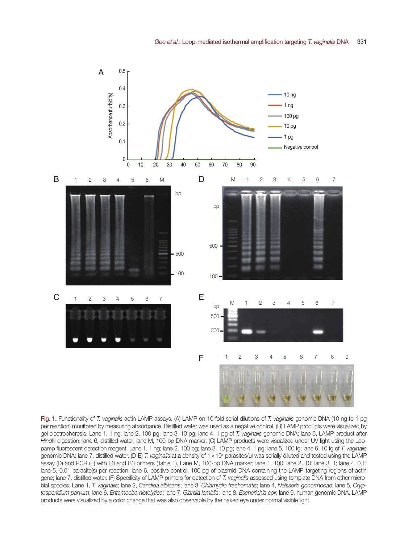

Fig. 1. Functionality of *T. vaginalis* actin LAMP assays. (A) LAMP on 10-fold serial dilutions of *T. vaginalis* genomic DNA (10 ng to 1 pg per reaction) monitored by measuring absorbance. Distilled water was used as a negative control. (B) LAMP products were visualized by gel electrophoresis. Lane 1, 1 ng; lane 2, 100 pg; lane 3, 10 pg; lane 4, 1 pg of *T. vaginalis* genomic DNA; lane 5, LAMP product after *Hind*III digestion; lane 6, distilled water; lane M, 100-bp DNA marker. (C) LAMP products were visualized under UV light using the Loopamp fluorescent detection reagent. Lane 1, 1 ng; lane 2, 100 pg; lane 3, 10 pg; lane 4, 1 pg; lane 5, 100 fg; lane 6, 10 fg of *T. vaginalis* genomic DNA; lane 7, distilled water. (D-E) *T. vaginalis* at a density of 1 × 10<sup>2</sup> parasites/μl was serially diluted and tested using the LAMP assay (D) and PCR (E) with F3 and B3 primers (Table 1). Lane M, 100-bp DNA marker; lane 1, 100; lane 2, 10; lane 3, 1; lane 4, 0.1; lane 5, 0.01 parasite(s) per reaction; lane 6, positive control, 100 pg of plasmid DNA containing the LAMP targeting regions of actin gene; lane 7, distilled water. (F) Specificity of LAMP primers for detection of *T. vaginalis* assessed using template DNA from other microbial species. Lane 1, *T. vaginalis*; lane 2, *Candida albicans*; lane 3, *Chlamydia trachomatis*; lane 4, *Neisseria gonorrhoeae*; lane 5, *Cryptosporidium parvum*; lane 6, *Entamoeba histolytica*; lane 7, *Giardia lamblia*; lane 8, *Escherichia coli*; lane 9, human genomic DNA. LAMP products were visualized by a color change that was also observable by the naked eye under normal visible light.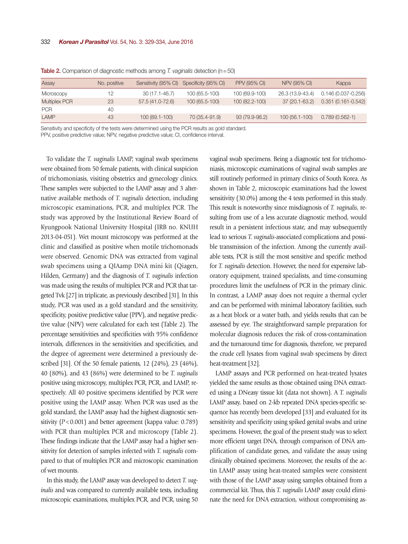| Assay                | No. positive |                  | Sensitivity (95% CI) Specificity (95% CI) | <b>PPV (95% CI)</b> | NPV (95% CI)     | Kappa                  |
|----------------------|--------------|------------------|-------------------------------------------|---------------------|------------------|------------------------|
| Microscopy           | 12.          | 30 (17.1-46.7)   | 100 (65.5-100)                            | 100 (69.9-100)      | 26.3 (13.9-43.4) | $0.146(0.037 - 0.256)$ |
| <b>Multiplex PCR</b> | 23           | 57.5 (41.0-72.6) | 100 (65.5-100)                            | 100 (82.2-100)      | 37 (20.1-63.2)   | $0.351(0.161 - 0.542)$ |
| <b>PCR</b>           | 40           |                  |                                           |                     |                  |                        |
| LAMP                 | 43           | 100 (89.1-100)   | 70 (35.4-91.9)                            | 93 (79.9-98.2)      | 100 (56.1-100)   | $0.789(0.562-1)$       |

Table 2. Comparison of diagnostic methods among *T. vaginalis* detection (n=50)

Sensitivity and specificity of the tests were determined using the PCR results as gold standard.

PPV, positive predictive value; NPV, negative predictive value; CI, confidence interval.

To validate the *T. vaginalis* LAMP, vaginal swab specimens were obtained from 50 female patients, with clinical suspicion of trichomoniasis, visiting obstetrics and gynecology clinics. These samples were subjected to the LAMP assay and 3 alternative available methods of *T. vaginalis* detection, including microscopic examinations, PCR, and multiplex PCR. The study was approved by the Institutional Review Board of Kyungpook National University Hospital (IRB no. KNUH 2013-04-051). Wet mount microscopy was performed at the clinic and classified as positive when motile trichomonads were observed. Genomic DNA was extracted from vaginal swab specimens using a QIAamp DNA mini kit (Qiagen, Hilden, Germany) and the diagnosis of *T. vaginalis* infection was made using the results of multiplex PCR and PCR that targeted Tvk [27] in triplicate, as previously described [31]. In this study, PCR was used as a gold standard and the sensitivity, specificity, positive predictive value (PPV), and negative predictive value (NPV) were calculated for each test (Table 2). The percentage sensitivities and specificities with 95% confidence intervals, differences in the sensitivities and specificities, and the degree of agreement were determined a previously described [31]. Of the 50 female patients, 12 (24%), 23 (46%), 40 (80%), and 43 (86%) were determined to be *T. vaginalis* positive using microscopy, multiplex PCR, PCR, and LAMP, respectively. All 40 positive specimens identified by PCR were positive using the LAMP assay. When PCR was used as the gold standard, the LAMP assay had the highest diagnostic sensitivity (*P* < 0.001) and better agreement (kappa value: 0.789) with PCR than multiplex PCR and microscopy (Table 2). These findings indicate that the LAMP assay had a higher sensitivity for detection of samples infected with *T. vaginalis* compared to that of multiplex PCR and microscopic examination of wet mounts.

In this study, the LAMP assay was developed to detect *T. vaginalis* and was compared to currently available tests, including microscopic examinations, multiplex PCR, and PCR, using 50

vaginal swab specimens. Being a diagnostic test for trichomoniasis, microscopic examinations of vaginal swab samples are still routinely performed in primary clinics of South Korea. As shown in Table 2, microscopic examinations had the lowest sensitivity (30.0%) among the 4 tests performed in this study. This result is noteworthy since misdiagnosis of *T. vaginalis*, resulting from use of a less accurate diagnostic method, would result in a persistent infectious state, and may subsequently lead to serious *T. vaginalis*-associated complications and possible transmission of the infection. Among the currently available tests, PCR is still the most sensitive and specific method for *T. vaginalis* detection. However, the need for expensive laboratory equipment, trained specialists, and time-consuming procedures limit the usefulness of PCR in the primary clinic. In contrast, a LAMP assay does not require a thermal cycler and can be performed with minimal laboratory facilities, such as a heat block or a water bath, and yields results that can be assessed by eye. The straightforward sample preparation for molecular diagnosis reduces the risk of cross-contamination and the turnaround time for diagnosis, therefore, we prepared the crude cell lysates from vaginal swab specimens by direct heat-treatment [32].

LAMP assays and PCR performed on heat-treated lysates yielded the same results as those obtained using DNA extracted using a DNeasy tissue kit (data not shown). A *T. vaginalis* LAMP assay, based on 2-kb repeated DNA species-specific sequence has recently been developed [33] and evaluated for its sensitivity and specificity using spiked genital swabs and urine specimens. However, the goal of the present study was to select more efficient target DNA, through comparison of DNA amplification of candidate genes, and validate the assay using clinically obtained specimens. Moreover, the results of the actin LAMP assay using heat-treated samples were consistent with those of the LAMP assay using samples obtained from a commercial kit. Thus, this *T. vaginalis* LAMP assay could eliminate the need for DNA extraction, without compromising as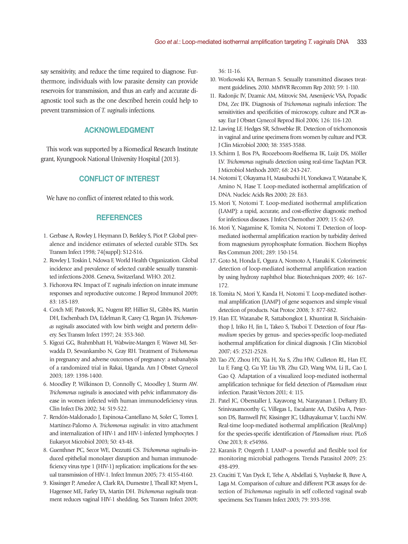say sensitivity, and reduce the time required to diagnose. Furthermore, individuals with low parasite density can provide reservoirs for transmission, and thus an early and accurate diagnostic tool such as the one described herein could help to prevent transmission of *T. vaginalis* infections.

## ACKNOWLEDGMENT

This work was supported by a Biomedical Research Institute grant, Kyungpook National University Hospital (2013).

#### CONFLICT OF INTEREST

We have no conflict of interest related to this work.

#### **REFERENCES**

- 1. Gerbase A, Rowley J, Heymann D, Berkley S, Piot P. Global prevalence and incidence estimates of selected curable STDs. Sex Transm Infect 1998; 74(suppl): S12-S16.
- 2. Rowley J, Toskin I, Ndowa F, World Health Organization. Global incidence and prevalence of selected curable sexually transmitted infections-2008. Geneva, Switzerland. WHO. 2012.
- 3. Fichorova RN. Impact of *T. vaginalis* infection on innate immune responses and reproductive outcome. J Reprod Immunol 2009; 83: 185-189.
- 4. Cotch MF, Pastorek, JG, Nugent RP, Hillier SL, Gibbs RS, Martin DH, Eschenbach DA, Edelman R, Carey CJ, Regan JA. *Trichomonas vaginalis* associated with low birth weight and preterm delivery. Sex Transm Infect 1997; 24: 353-360.
- 5. Kigozi GG, Brahmbhatt H, Wabwire-Mangen F, Wawer MJ, Serwadda D, Sewankambo N, Gray RH. Treatment of *Trichomonas* in pregnancy and adverse outcomes of pregnancy: a subanalysis of a randomized trial in Rakai, Uganda. Am J Obstet Gynecol 2003; 189: 1398-1400.
- 6. Moodley P, Wilkinson D, Connolly C, Moodley J, Sturm AW. *Trichomonas vaginalis* is associated with pelvic inflammatory disease in women infected with human immunodeficiency virus. Clin Infect Dis 2002; 34: 519-522.
- 7. Rendón-Maldonado J, Espinosa-Cantellano M, Soler C, Torres J, Martínez-Palomo A. *Trichomonas vaginalis*: in vitro attachment and internalization of HIV-1 and HIV-1-infected lymphocytes. J Eukaryot Microbiol 2003; 50: 43-48.
- 8. Guenthner PC, Secor WE, Dezzutti CS. *Trichomonas vaginalis*-induced epithelial monolayer disruption and human immunodeficiency virus type 1 (HIV-1) replication: implications for the sexual transmission of HIV-1. Infect Immun 2005; 73: 4155-4160.
- 9. Kissinger P, Amedee A, Clark RA, Dumestre J, Theall KP, Myers L, Hagensee ME, Farley TA, Martin DH. *Trichomonas vaginalis* treatment reduces vaginal HIV-1 shedding. Sex Transm Infect 2009;

36: 11-16.

- 10. Workowski KA, Berman S. Sexually transmitted diseases treatment guidelines, 2010. MMWR Recomm Rep 2010; 59: 1-110.
- 11. Radonjic IV, Dzamic AM, Mitrovic SM, Arsenijevic VSA, Popadic DM, Zec IFK. Diagnosis of *Trichomonas vaginalis* infection: The sensitivities and specificities of microscopy, culture and PCR assay. Eur J Obstet Gynecol Reprod Biol 2006; 126: 116-120.
- 12. Lawing LF, Hedges SR, Schwebke JR. Detection of trichomonosis in vaginal and urine specimens from women by culture and PCR. J Clin Microbiol 2000; 38: 3585-3588.
- 13. Schirm J, Bos PA, Roozeboom-Roelfsema IK, Luijt DS, Möller LV. *Trichomonas vaginalis* detection using real-time TaqMan PCR. J Microbiol Methods 2007; 68: 243-247.
- 14. Notomi T, Okayama H, Masubuchi H, Yonekawa T, Watanabe K, Amino N, Hase T. Loop-mediated isothermal amplification of DNA. Nucleic Acids Res 2000; 28: E63.
- 15. Mori Y, Notomi T. Loop-mediated isothermal amplification (LAMP): a rapid, accurate, and cost-effective diagnostic method for infectious diseases. J Infect Chemother 2009; 15: 62-69.
- 16. Mori Y, Nagamine K, Tomita N, Notomi T. Detection of loopmediated isothermal amplification reaction by turbidity derived from magnesium pyrophosphate formation. Biochem Biophys Res Commun 2001; 289: 150-154.
- 17. Goto M, Honda E, Ogura A, Nomoto A, Hanaki K. Colorimetric detection of loop-mediated isothermal amplification reaction by using hydroxy naphthol blue. Biotechniques 2009; 46: 167- 172.
- 18. Tomita N, Mori Y, Kanda H, Notomi T. Loop-mediated isothermal amplification (LAMP) of gene sequences and simple visual detection of products. Nat Protoc 2008; 3: 877-882.
- 19. Han ET, Watanabe R, Sattabongkot J, Khuntirat B, Sirichaisinthop J, Iriko H, Jin L, Takeo S, Tsuboi T. Detection of four *Plasmodium* species by genus- and species-specific loop-mediated isothermal amplification for clinical diagnosis. J Clin Microbiol 2007; 45: 2521-2528.
- 20. Tao ZY, Zhou HY, Xia H, Xu S, Zhu HW, Culleton RL, Han ET, Lu F, Fang Q, Gu YP, Liu YB, Zhu GD, Wang WM, Li JL, Cao J, Gao Q. Adaptation of a visualized loop-mediated isothermal amplification technique for field detection of *Plasmodium vivax* infection. Parasit Vectors 2011; 4: 115.
- 21. Patel JC, Oberstaller J, Xayavong M, Narayanan J, DeBarry JD, Srinivasamoorthy G, Villegas L, Escalante AA, DaSilva A, Peterson DS, Barnwell JW, Kissinger JC, Udhayakumar V, Lucchi NW. Real-time loop-mediated isothermal amplification (RealAmp) for the species-specific identification of *Plasmodium vivax*. PLoS One 2013; 8: e54986.
- 22. Karanis P, Ongerth J. LAMP--a powerful and flexible tool for monitoring microbial pathogens. Trends Parasitol 2009; 25: 498-499.
- 23. Crucitti T, Van Dyck E, Tehe A, Abdellati S, Vuylsteke B, Buve A, Laga M. Comparison of culture and different PCR assays for detection of *Trichomonas vaginalis* in self collected vaginal swab specimens. Sex Transm Infect 2003; 79: 393-398.